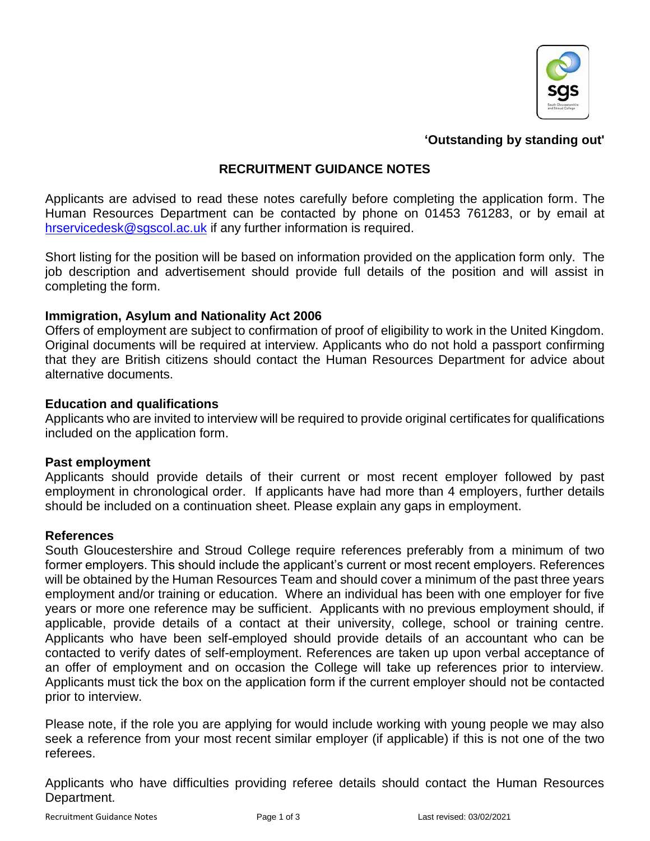

#### **'Outstanding by standing out'**

## **RECRUITMENT GUIDANCE NOTES**

Applicants are advised to read these notes carefully before completing the application form. The Human Resources Department can be contacted by phone on 01453 761283, or by email at [hrservicedesk@sgscol.ac.uk](mailto:hrservicedesk@sgscol.ac.uk) if any further information is required.

Short listing for the position will be based on information provided on the application form only. The job description and advertisement should provide full details of the position and will assist in completing the form.

#### **Immigration, Asylum and Nationality Act 2006**

Offers of employment are subject to confirmation of proof of eligibility to work in the United Kingdom. Original documents will be required at interview. Applicants who do not hold a passport confirming that they are British citizens should contact the Human Resources Department for advice about alternative documents.

#### **Education and qualifications**

Applicants who are invited to interview will be required to provide original certificates for qualifications included on the application form.

#### **Past employment**

Applicants should provide details of their current or most recent employer followed by past employment in chronological order. If applicants have had more than 4 employers, further details should be included on a continuation sheet. Please explain any gaps in employment.

#### **References**

South Gloucestershire and Stroud College require references preferably from a minimum of two former employers. This should include the applicant's current or most recent employers. References will be obtained by the Human Resources Team and should cover a minimum of the past three years employment and/or training or education. Where an individual has been with one employer for five years or more one reference may be sufficient. Applicants with no previous employment should, if applicable, provide details of a contact at their university, college, school or training centre. Applicants who have been self-employed should provide details of an accountant who can be contacted to verify dates of self-employment. References are taken up upon verbal acceptance of an offer of employment and on occasion the College will take up references prior to interview. Applicants must tick the box on the application form if the current employer should not be contacted prior to interview.

Please note, if the role you are applying for would include working with young people we may also seek a reference from your most recent similar employer (if applicable) if this is not one of the two referees.

Applicants who have difficulties providing referee details should contact the Human Resources Department.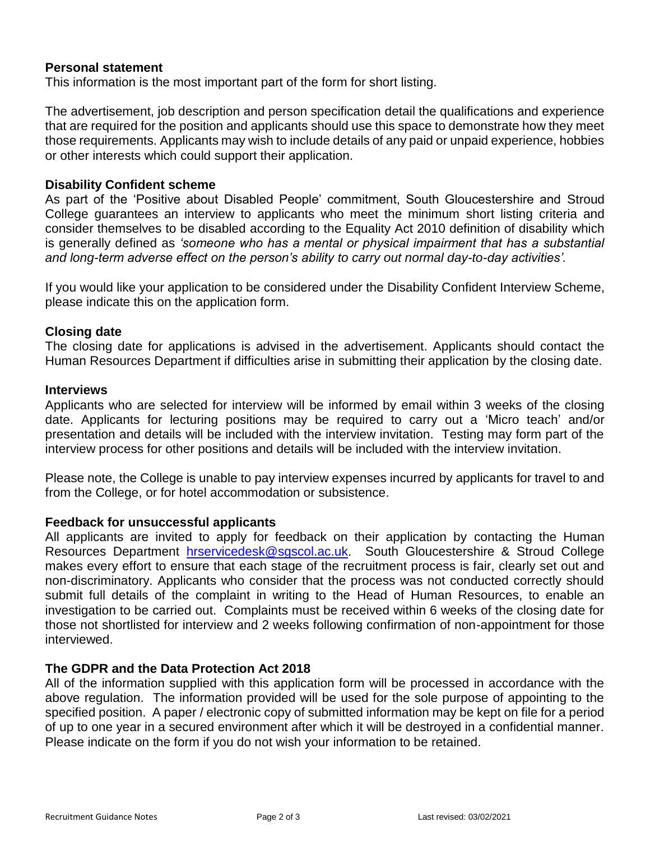## **Personal statement**

This information is the most important part of the form for short listing.

The advertisement, job description and person specification detail the qualifications and experience that are required for the position and applicants should use this space to demonstrate how they meet those requirements. Applicants may wish to include details of any paid or unpaid experience, hobbies or other interests which could support their application.

## **Disability Confident scheme**

As part of the 'Positive about Disabled People' commitment, South Gloucestershire and Stroud College guarantees an interview to applicants who meet the minimum short listing criteria and consider themselves to be disabled according to the Equality Act 2010 definition of disability which is generally defined as *'someone who has a mental or physical impairment that has a substantial and long-term adverse effect on the person's ability to carry out normal day-to-day activities'.*

If you would like your application to be considered under the Disability Confident Interview Scheme, please indicate this on the application form.

## **Closing date**

The closing date for applications is advised in the advertisement. Applicants should contact the Human Resources Department if difficulties arise in submitting their application by the closing date.

#### **Interviews**

Applicants who are selected for interview will be informed by email within 3 weeks of the closing date. Applicants for lecturing positions may be required to carry out a 'Micro teach' and/or presentation and details will be included with the interview invitation. Testing may form part of the interview process for other positions and details will be included with the interview invitation.

Please note, the College is unable to pay interview expenses incurred by applicants for travel to and from the College, or for hotel accommodation or subsistence.

### **Feedback for unsuccessful applicants**

All applicants are invited to apply for feedback on their application by contacting the Human Resources Department [hrservicedesk@sgscol.ac.uk.](mailto:hrservicedesk@sgscol.ac.uk) South Gloucestershire & Stroud College makes every effort to ensure that each stage of the recruitment process is fair, clearly set out and non-discriminatory. Applicants who consider that the process was not conducted correctly should submit full details of the complaint in writing to the Head of Human Resources, to enable an investigation to be carried out. Complaints must be received within 6 weeks of the closing date for those not shortlisted for interview and 2 weeks following confirmation of non-appointment for those interviewed.

### **The GDPR and the Data Protection Act 2018**

All of the information supplied with this application form will be processed in accordance with the above regulation. The information provided will be used for the sole purpose of appointing to the specified position. A paper / electronic copy of submitted information may be kept on file for a period of up to one year in a secured environment after which it will be destroyed in a confidential manner. Please indicate on the form if you do not wish your information to be retained.